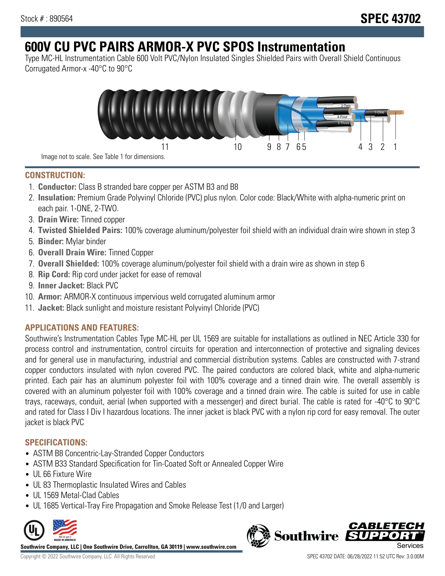# **600V CU PVC PAIRS ARMOR-X PVC SPOS Instrumentation**

Type MC-HL Instrumentation Cable 600 Volt PVC/Nylon Insulated Singles Shielded Pairs with Overall Shield Continuous Corrugated Armor-x -40°C to 90°C



**CONSTRUCTION:**

- 1. **Conductor:** Class B stranded bare copper per ASTM B3 and B8
- 2. **Insulation:** Premium Grade Polyvinyl Chloride (PVC) plus nylon. Color code: Black/White with alpha-numeric print on each pair. 1-ONE, 2-TWO.
- 3. **Drain Wire:** Tinned copper
- 4. **Twisted Shielded Pairs:** 100% coverage aluminum/polyester foil shield with an individual drain wire shown in step 3
- 5. **Binder:** Mylar binder
- 6. **Overall Drain Wire:** Tinned Copper
- 7. **Overall Shielded:** 100% coverage aluminum/polyester foil shield with a drain wire as shown in step 6
- 8. **Rip Cord:** Rip cord under jacket for ease of removal
- 9. **Inner Jacket:** Black PVC
- 10. **Armor:** ARMOR-X continuous impervious weld corrugated aluminum armor
- 11. **Jacket:** Black sunlight and moisture resistant Polyvinyl Chloride (PVC)

## **APPLICATIONS AND FEATURES:**

Southwire's Instrumentation Cables Type MC-HL per UL 1569 are suitable for installations as outlined in NEC Article 330 for process control and instrumentation, control circuits for operation and interconnection of protective and signaling devices and for general use in manufacturing, industrial and commercial distribution systems. Cables are constructed with 7-strand copper conductors insulated with nylon covered PVC. The paired conductors are colored black, white and alpha-numeric printed. Each pair has an aluminum polyester foil with 100% coverage and a tinned drain wire. The overall assembly is covered with an aluminum polyester foil with 100% coverage and a tinned drain wire. The cable is suited for use in cable trays, raceways, conduit, aerial (when supported with a messenger) and direct burial. The cable is rated for -40°C to 90°C and rated for Class I Div I hazardous locations. The inner jacket is black PVC with a nylon rip cord for easy removal. The outer jacket is black PVC

### **SPECIFICATIONS:**

- ASTM B8 Concentric-Lay-Stranded Copper Conductors
- ASTM B33 Standard Specification for Tin-Coated Soft or Annealed Copper Wire
- UL 66 Fixture Wire
- UL 83 Thermoplastic Insulated Wires and Cables
- UL 1569 Metal-Clad Cables
- UL 1685 Vertical-Tray Fire Propagation and Smoke Release Test (1/0 and Larger)



**Southwire Company, LLC | One Southwire Drive, Carrollton, GA 30119 | www.southwire.com**